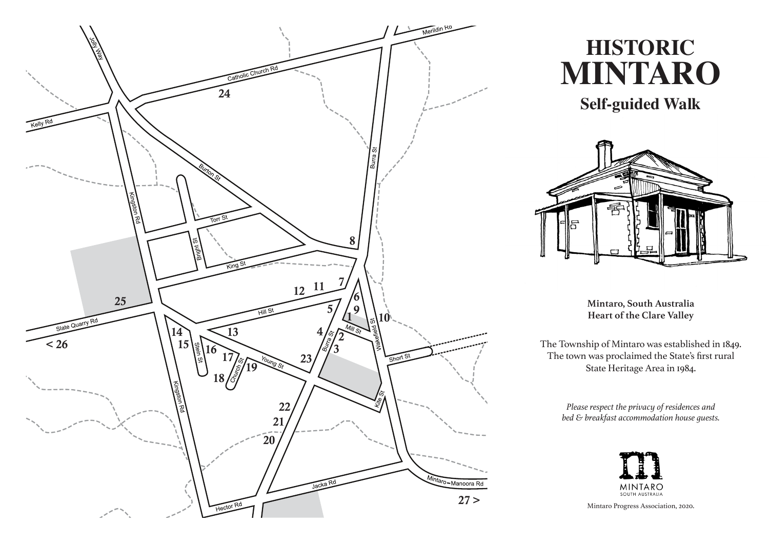

# **HISTORIC MINTARO**

**Self-guided Walk**



**Mintaro, South Australia Heart of the Clare Valley**

The Township of Mintaro was established in 1849. The town was proclaimed the State's first rural State Heritage Area in 1984.

> *Please respect the privacy of residences and bed & breakfast accommodation house guests.*